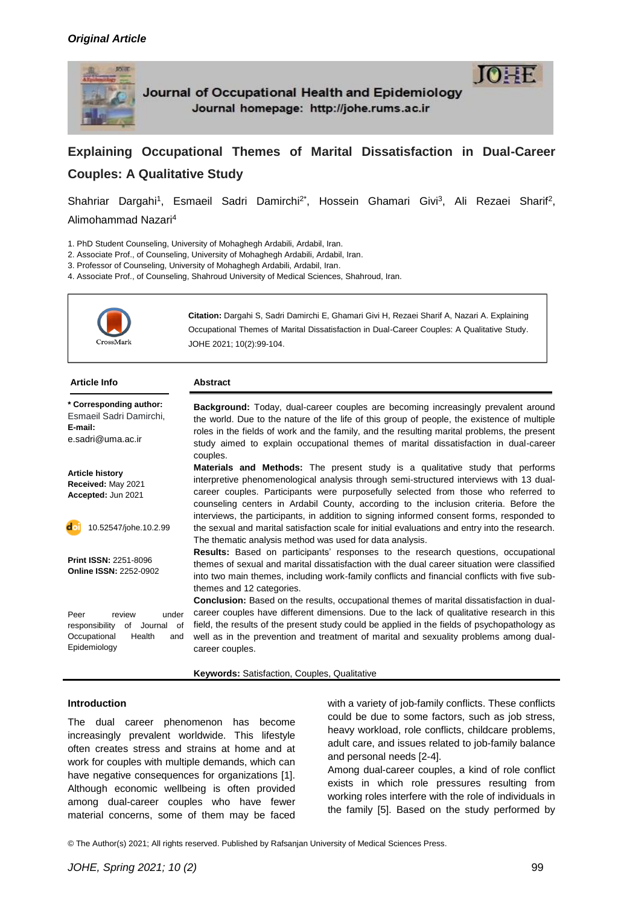

Journal of Occupational Health and Epidemiology Journal homepage: http://johe.rums.ac.ir

# **Explaining Occupational Themes of Marital Dissatisfaction in Dual-Career Couples: A Qualitative Study**

Shahriar Dargahi<sup>1</sup>, Esmaeil Sadri Damirchi<sup>2\*</sup>, Hossein Ghamari Givi<sup>3</sup>, Ali Rezaei Sharif<sup>2</sup>, Alimohammad Nazari<sup>4</sup>

- 1. PhD Student Counseling, University of Mohaghegh Ardabili, Ardabil, Iran.
- 2. Associate Prof., of Counseling, University of Mohaghegh Ardabili, Ardabil, Iran.
- 3. Professor of Counseling, University of Mohaghegh Ardabili, Ardabil, Iran.
- 4. Associate Prof., of Counseling, Shahroud University of Medical Sciences, Shahroud, Iran.



#### **Article Info Abstract**

| * Corresponding author:<br>Esmaeil Sadri Damirchi,<br>E-mail:<br>e.sadri@uma.ac.ir | Background: Today, dual-career couples are becoming increasingly prevalent around<br>the world. Due to the nature of the life of this group of people, the existence of multiple<br>roles in the fields of work and the family, and the resulting marital problems, the present<br>study aimed to explain occupational themes of marital dissatisfaction in dual-career<br>couples. |
|------------------------------------------------------------------------------------|-------------------------------------------------------------------------------------------------------------------------------------------------------------------------------------------------------------------------------------------------------------------------------------------------------------------------------------------------------------------------------------|
| <b>Article history</b><br>Received: May 2021<br>Accepted: Jun 2021                 | <b>Materials and Methods:</b> The present study is a qualitative study that performs<br>interpretive phenomenological analysis through semi-structured interviews with 13 dual-<br>career couples. Participants were purposefully selected from those who referred to<br>counseling centers in Ardabil County, according to the inclusion criteria. Before the                      |
| do<br>10.52547/johe.10.2.99                                                        | interviews, the participants, in addition to signing informed consent forms, responded to<br>the sexual and marital satisfaction scale for initial evaluations and entry into the research.<br>The thematic analysis method was used for data analysis.                                                                                                                             |
| Print ISSN: 2251-8096<br><b>Online ISSN: 2252-0902</b>                             | Results: Based on participants' responses to the research questions, occupational<br>themes of sexual and marital dissatisfaction with the dual career situation were classified<br>into two main themes, including work-family conflicts and financial conflicts with five sub-<br>themes and 12 categories.                                                                       |
|                                                                                    | Conclusion: Based on the results, occupational themes of marital dissatisfaction in dual-                                                                                                                                                                                                                                                                                           |
| Peer<br>under<br>review                                                            | career couples have different dimensions. Due to the lack of qualitative research in this                                                                                                                                                                                                                                                                                           |
| responsibility<br>of<br>Journal of                                                 | field, the results of the present study could be applied in the fields of psychopathology as                                                                                                                                                                                                                                                                                        |
| Occupational<br>Health<br>and                                                      | well as in the prevention and treatment of marital and sexuality problems among dual-                                                                                                                                                                                                                                                                                               |

#### **Keywords:** Satisfaction, Couples, Qualitative

#### **Introduction**

Epidemiology

The dual career phenomenon has become increasingly prevalent worldwide. This lifestyle often creates stress and strains at home and at work for couples with multiple demands, which can have negative consequences for organizations [1]. Although economic wellbeing is often provided among dual-career couples who have fewer material concerns, some of them may be faced

career couples.

with a variety of job-family conflicts. These conflicts could be due to some factors, such as job stress, heavy workload, role conflicts, childcare problems, adult care, and issues related to job-family balance and personal needs [2-4].

Among dual-career couples, a kind of role conflict exists in which role pressures resulting from working roles interfere with the role of individuals in the family [5]. Based on the study performed by

© The Author(s) 2021; All rights reserved. Published by Rafsanjan University of Medical Sciences Press.

 $IOIF$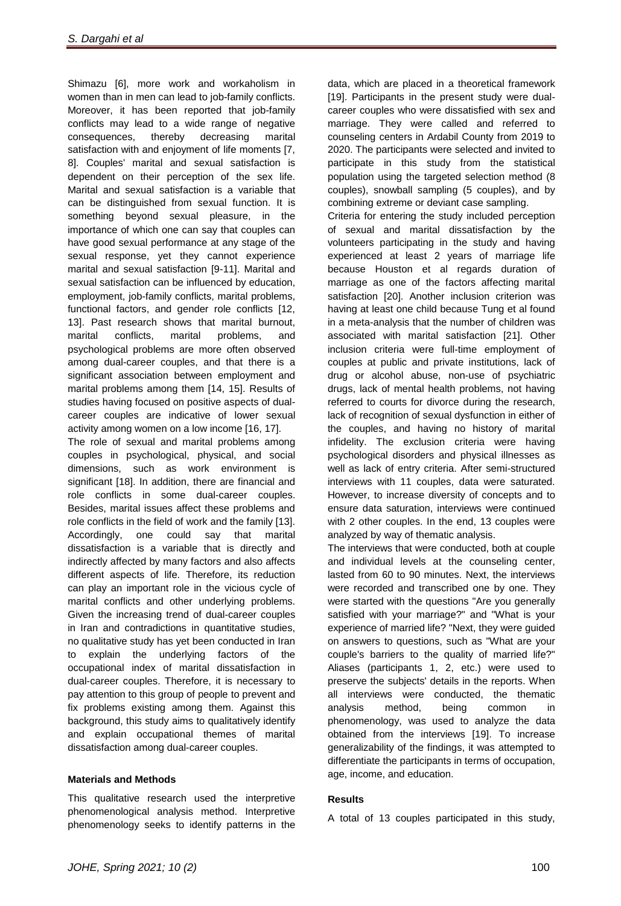Shimazu [6], more work and workaholism in women than in men can lead to job-family conflicts. Moreover, it has been reported that job-family conflicts may lead to a wide range of negative consequences, thereby decreasing marital satisfaction with and enjoyment of life moments [7, 8]. Couples' marital and sexual satisfaction is dependent on their perception of the sex life. Marital and sexual satisfaction is a variable that can be distinguished from sexual function. It is something beyond sexual pleasure, in the importance of which one can say that couples can have good sexual performance at any stage of the sexual response, yet they cannot experience marital and sexual satisfaction [9-11]. Marital and sexual satisfaction can be influenced by education, employment, job-family conflicts, marital problems, functional factors, and gender role conflicts [12, 13]. Past research shows that marital burnout, marital conflicts, marital problems, and psychological problems are more often observed among dual-career couples, and that there is a significant association between employment and marital problems among them [14, 15]. Results of studies having focused on positive aspects of dualcareer couples are indicative of lower sexual activity among women on a low income [16, 17].

The role of sexual and marital problems among couples in psychological, physical, and social dimensions, such as work environment is significant [18]. In addition, there are financial and role conflicts in some dual-career couples. Besides, marital issues affect these problems and role conflicts in the field of work and the family [13]. Accordingly, one could say that marital dissatisfaction is a variable that is directly and indirectly affected by many factors and also affects different aspects of life. Therefore, its reduction can play an important role in the vicious cycle of marital conflicts and other underlying problems. Given the increasing trend of dual-career couples in Iran and contradictions in quantitative studies, no qualitative study has yet been conducted in Iran to explain the underlying factors of the occupational index of marital dissatisfaction in dual-career couples. Therefore, it is necessary to pay attention to this group of people to prevent and fix problems existing among them. Against this background, this study aims to qualitatively identify and explain occupational themes of marital dissatisfaction among dual-career couples.

# **Materials and Methods**

This qualitative research used the interpretive phenomenological analysis method. Interpretive phenomenology seeks to identify patterns in the

data, which are placed in a theoretical framework [19]. Participants in the present study were dualcareer couples who were dissatisfied with sex and marriage. They were called and referred to counseling centers in Ardabil County from 2019 to 2020. The participants were selected and invited to participate in this study from the statistical population using the targeted selection method (8 couples), snowball sampling (5 couples), and by combining extreme or deviant case sampling.

Criteria for entering the study included perception of sexual and marital dissatisfaction by the volunteers participating in the study and having experienced at least 2 years of marriage life because Houston et al regards duration of marriage as one of the factors affecting marital satisfaction [20]. Another inclusion criterion was having at least one child because Tung et al found in a meta-analysis that the number of children was associated with marital satisfaction [21]. Other inclusion criteria were full-time employment of couples at public and private institutions, lack of drug or alcohol abuse, non-use of psychiatric drugs, lack of mental health problems, not having referred to courts for divorce during the research, lack of recognition of sexual dysfunction in either of the couples, and having no history of marital infidelity. The exclusion criteria were having psychological disorders and physical illnesses as well as lack of entry criteria. After semi-structured interviews with 11 couples, data were saturated. However, to increase diversity of concepts and to ensure data saturation, interviews were continued with 2 other couples. In the end, 13 couples were analyzed by way of thematic analysis.

The interviews that were conducted, both at couple and individual levels at the counseling center, lasted from 60 to 90 minutes. Next, the interviews were recorded and transcribed one by one. They were started with the questions "Are you generally satisfied with your marriage?" and "What is your experience of married life? "Next, they were guided on answers to questions, such as "What are your couple's barriers to the quality of married life?" Aliases (participants 1, 2, etc.) were used to preserve the subjects' details in the reports. When all interviews were conducted, the thematic analysis method, being common in phenomenology, was used to analyze the data obtained from the interviews [19]. To increase generalizability of the findings, it was attempted to differentiate the participants in terms of occupation, age, income, and education.

# **Results**

A total of 13 couples participated in this study,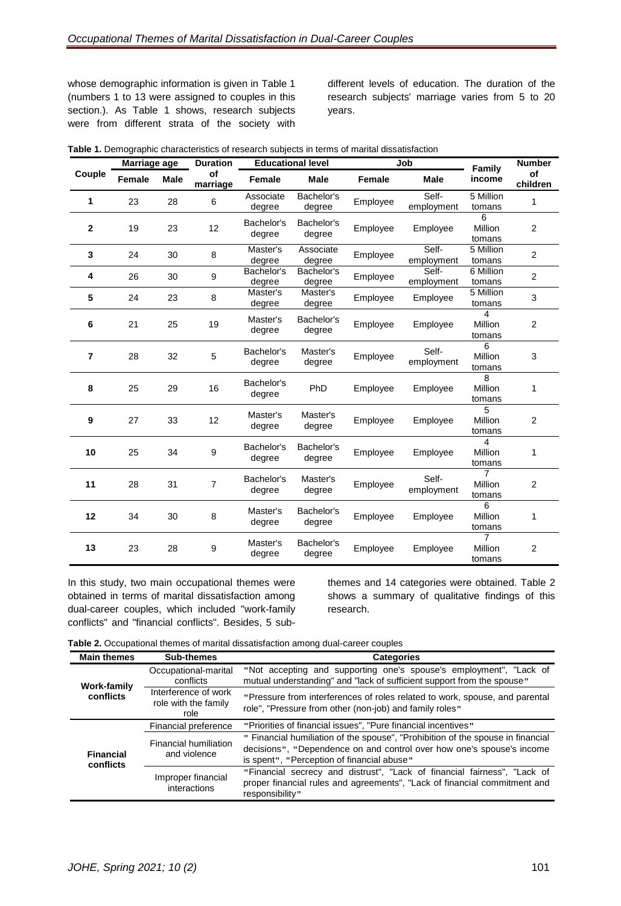whose demographic information is given in Table 1 (numbers 1 to 13 were assigned to couples in this section.). As Table 1 shows, research subjects were from different strata of the society with different levels of education. The duration of the research subjects' marriage varies from 5 to 20 years.

|                | Marriage age  |             | <b>Duration</b> | <b>Educational level</b> |                      | Job           |                     | <b>Family</b>                       | <b>Number</b>         |
|----------------|---------------|-------------|-----------------|--------------------------|----------------------|---------------|---------------------|-------------------------------------|-----------------------|
| Couple         | <b>Female</b> | <b>Male</b> | Ωf<br>marriage  | <b>Female</b>            | <b>Male</b>          | <b>Female</b> | <b>Male</b>         | income                              | <b>of</b><br>children |
| 1              | 23            | 28          | 6               | Associate<br>degree      | Bachelor's<br>degree | Employee      | Self-<br>employment | 5 Million<br>tomans                 | 1                     |
| $\mathbf 2$    | 19            | 23          | 12              | Bachelor's<br>degree     | Bachelor's<br>degree | Employee      | Employee            | 6<br>Million<br>tomans              | $\overline{2}$        |
| 3              | 24            | 30          | 8               | Master's<br>degree       | Associate<br>degree  | Employee      | Self-<br>employment | 5 Million<br>tomans                 | $\overline{2}$        |
| 4              | 26            | 30          | 9               | Bachelor's<br>degree     | Bachelor's<br>degree | Employee      | Self-<br>employment | 6 Million<br>tomans                 | $\overline{2}$        |
| 5              | 24            | 23          | 8               | Master's<br>degree       | Master's<br>degree   | Employee      | Employee            | 5 Million<br>tomans                 | 3                     |
| 6              | 21            | 25          | 19              | Master's<br>degree       | Bachelor's<br>degree | Employee      | Employee            | 4<br>Million<br>tomans              | 2                     |
| $\overline{7}$ | 28            | 32          | 5               | Bachelor's<br>degree     | Master's<br>degree   | Employee      | Self-<br>employment | 6<br>Million<br>tomans              | 3                     |
| 8              | 25            | 29          | 16              | Bachelor's<br>degree     | PhD                  | Employee      | Employee            | 8<br>Million<br>tomans              | 1                     |
| 9              | 27            | 33          | 12              | Master's<br>degree       | Master's<br>degree   | Employee      | Employee            | 5<br>Million<br>tomans              | $\overline{2}$        |
| 10             | 25            | 34          | 9               | Bachelor's<br>degree     | Bachelor's<br>degree | Employee      | Employee            | 4<br>Million<br>tomans              | 1                     |
| 11             | 28            | 31          | 7               | Bachelor's<br>degree     | Master's<br>degree   | Employee      | Self-<br>employment | $\overline{7}$<br>Million<br>tomans | $\overline{2}$        |
| 12             | 34            | 30          | 8               | Master's<br>degree       | Bachelor's<br>degree | Employee      | Employee            | 6<br>Million<br>tomans              | 1                     |
| 13             | 23            | 28          | 9               | Master's<br>degree       | Bachelor's<br>degree | Employee      | Employee            | $\overline{7}$<br>Million<br>tomans | 2                     |

| Table 1. Demographic characteristics of research subjects in terms of marital dissatisfaction |
|-----------------------------------------------------------------------------------------------|
|-----------------------------------------------------------------------------------------------|

In this study, two main occupational themes were obtained in terms of marital dissatisfaction among dual-career couples, which included "work-family conflicts" and "financial conflicts". Besides, 5 subthemes and 14 categories were obtained. Table 2 shows a summary of qualitative findings of this research.

| Table 2. Occupational themes of marital dissatisfaction among dual-career couples |  |
|-----------------------------------------------------------------------------------|--|
|                                                                                   |  |

| <b>Main themes</b>              | <b>Sub-themes</b>                                    | <b>Categories</b>                                                                                                                                                                                      |
|---------------------------------|------------------------------------------------------|--------------------------------------------------------------------------------------------------------------------------------------------------------------------------------------------------------|
| <b>Work-family</b><br>conflicts | Occupational-marital<br>conflicts                    | "Not accepting and supporting one's spouse's employment", "Lack of<br>mutual understanding" and "lack of sufficient support from the spouse"                                                           |
|                                 | Interference of work<br>role with the family<br>role | "Pressure from interferences of roles related to work, spouse, and parental<br>role", "Pressure from other (non-job) and family roles"                                                                 |
| <b>Financial</b><br>conflicts   | Financial preference                                 | "Priorities of financial issues", "Pure financial incentives"                                                                                                                                          |
|                                 | <b>Financial humiliation</b><br>and violence         | " Financial humiliation of the spouse", "Prohibition of the spouse in financial<br>decisions", "Dependence on and control over how one's spouse's income<br>is spent", "Perception of financial abuse" |
|                                 | Improper financial<br>interactions                   | "Financial secrecy and distrust", "Lack of financial fairness", "Lack of<br>proper financial rules and agreements", "Lack of financial commitment and<br>responsibility"                               |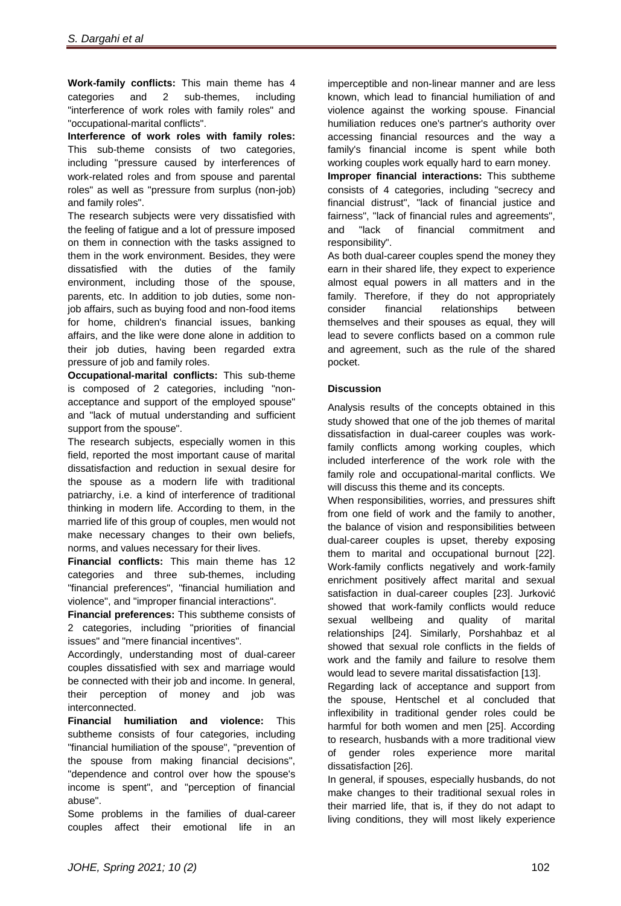**Work-family conflicts:** This main theme has 4 categories and 2 sub-themes, including "interference of work roles with family roles" and "occupational-marital conflicts".

**Interference of work roles with family roles:** This sub-theme consists of two categories, including "pressure caused by interferences of work-related roles and from spouse and parental roles" as well as "pressure from surplus (non-job) and family roles".

The research subjects were very dissatisfied with the feeling of fatigue and a lot of pressure imposed on them in connection with the tasks assigned to them in the work environment. Besides, they were dissatisfied with the duties of the family environment, including those of the spouse, parents, etc. In addition to job duties, some nonjob affairs, such as buying food and non-food items for home, children's financial issues, banking affairs, and the like were done alone in addition to their job duties, having been regarded extra pressure of job and family roles.

**Occupational-marital conflicts:** This sub-theme is composed of 2 categories, including "nonacceptance and support of the employed spouse" and "lack of mutual understanding and sufficient support from the spouse".

The research subjects, especially women in this field, reported the most important cause of marital dissatisfaction and reduction in sexual desire for the spouse as a modern life with traditional patriarchy, i.e. a kind of interference of traditional thinking in modern life. According to them, in the married life of this group of couples, men would not make necessary changes to their own beliefs, norms, and values necessary for their lives.

**Financial conflicts:** This main theme has 12 categories and three sub-themes, including "financial preferences", "financial humiliation and violence", and "improper financial interactions".

**Financial preferences:** This subtheme consists of 2 categories, including "priorities of financial issues" and "mere financial incentives".

Accordingly, understanding most of dual-career couples dissatisfied with sex and marriage would be connected with their job and income. In general, their perception of money and job was interconnected.

**Financial humiliation and violence:** This subtheme consists of four categories, including "financial humiliation of the spouse", "prevention of the spouse from making financial decisions", "dependence and control over how the spouse's income is spent", and "perception of financial abuse".

Some problems in the families of dual-career couples affect their emotional life in an

imperceptible and non-linear manner and are less known, which lead to financial humiliation of and violence against the working spouse. Financial humiliation reduces one's partner's authority over accessing financial resources and the way a family's financial income is spent while both working couples work equally hard to earn money. **Improper financial interactions:** This subtheme consists of 4 categories, including "secrecy and financial distrust", "lack of financial justice and

fairness", "lack of financial rules and agreements", and "lack of financial commitment and responsibility".

As both dual-career couples spend the money they earn in their shared life, they expect to experience almost equal powers in all matters and in the family. Therefore, if they do not appropriately consider financial relationships between themselves and their spouses as equal, they will lead to severe conflicts based on a common rule and agreement, such as the rule of the shared pocket.

#### **Discussion**

Analysis results of the concepts obtained in this study showed that one of the job themes of marital dissatisfaction in dual-career couples was workfamily conflicts among working couples, which included interference of the work role with the family role and occupational-marital conflicts. We will discuss this theme and its concepts.

When responsibilities, worries, and pressures shift from one field of work and the family to another, the balance of vision and responsibilities between dual-career couples is upset, thereby exposing them to marital and occupational burnout [22]. Work-family conflicts negatively and work-family enrichment positively affect marital and sexual satisfaction in dual-career couples [23]. Jurković showed that work-family conflicts would reduce sexual wellbeing and quality of marital relationships [24]. Similarly, Porshahbaz et al showed that sexual role conflicts in the fields of work and the family and failure to resolve them would lead to severe marital dissatisfaction [13].

Regarding lack of acceptance and support from the spouse, Hentschel et al concluded that inflexibility in traditional gender roles could be harmful for both women and men [25]. According to research, husbands with a more traditional view of gender roles experience more marital dissatisfaction [26].

In general, if spouses, especially husbands, do not make changes to their traditional sexual roles in their married life, that is, if they do not adapt to living conditions, they will most likely experience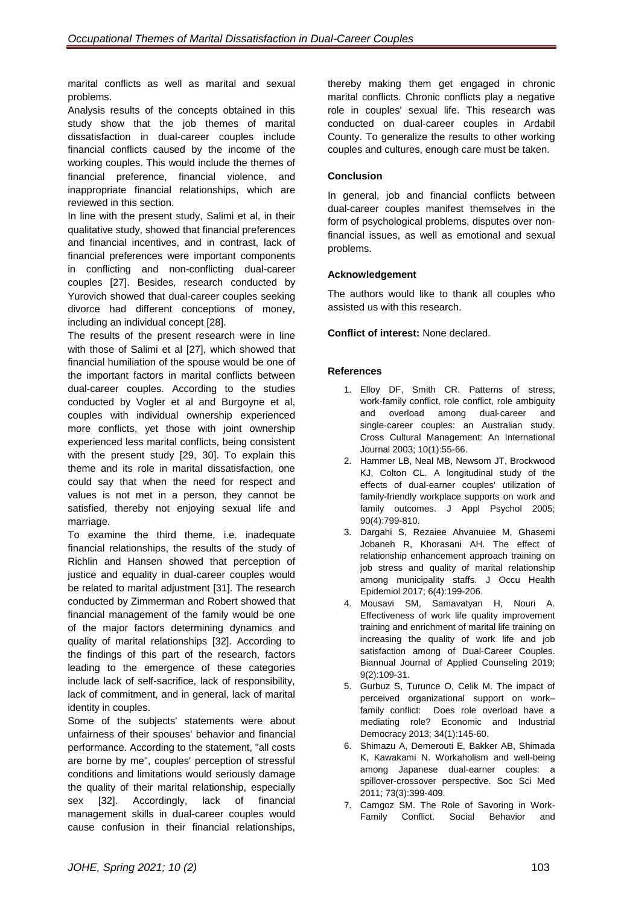marital conflicts as well as marital and sexual problems.

Analysis results of the concepts obtained in this study show that the job themes of marital dissatisfaction in dual-career couples include financial conflicts caused by the income of the working couples. This would include the themes of financial preference, financial violence, and inappropriate financial relationships, which are reviewed in this section.

In line with the present study, Salimi et al, in their qualitative study, showed that financial preferences and financial incentives, and in contrast, lack of financial preferences were important components in conflicting and non-conflicting dual-career couples [27]. Besides, research conducted by Yurovich showed that dual-career couples seeking divorce had different conceptions of money, including an individual concept [28].

The results of the present research were in line with those of Salimi et al [27], which showed that financial humiliation of the spouse would be one of the important factors in marital conflicts between dual-career couples. According to the studies conducted by Vogler et al and Burgoyne et al, couples with individual ownership experienced more conflicts, yet those with joint ownership experienced less marital conflicts, being consistent with the present study [29, 30]. To explain this theme and its role in marital dissatisfaction, one could say that when the need for respect and values is not met in a person, they cannot be satisfied, thereby not enjoying sexual life and marriage.

To examine the third theme, i.e. inadequate financial relationships, the results of the study of Richlin and Hansen showed that perception of justice and equality in dual-career couples would be related to marital adjustment [31]. The research conducted by Zimmerman and Robert showed that financial management of the family would be one of the major factors determining dynamics and quality of marital relationships [32]. According to the findings of this part of the research, factors leading to the emergence of these categories include lack of self-sacrifice, lack of responsibility, lack of commitment, and in general, lack of marital identity in couples.

Some of the subjects' statements were about unfairness of their spouses' behavior and financial performance. According to the statement, "all costs are borne by me", couples' perception of stressful conditions and limitations would seriously damage the quality of their marital relationship, especially sex [32]. Accordingly, lack of financial management skills in dual-career couples would cause confusion in their financial relationships,

thereby making them get engaged in chronic marital conflicts. Chronic conflicts play a negative role in couples' sexual life. This research was conducted on dual-career couples in Ardabil County. To generalize the results to other working couples and cultures, enough care must be taken.

# **Conclusion**

In general, job and financial conflicts between dual-career couples manifest themselves in the form of psychological problems, disputes over nonfinancial issues, as well as emotional and sexual problems.

# **Acknowledgement**

The authors would like to thank all couples who assisted us with this research.

# **Conflict of interest:** None declared.

# **References**

- 1. Elloy DF, Smith CR. Patterns of stress, work‐family conflict, role conflict, role ambiguity and overload among dual‐career and single-career couples: an Australian study. Cross Cultural Management: An International Journal 2003; 10(1):55-66.
- 2. Hammer LB, Neal MB, Newsom JT, Brockwood KJ, Colton CL. A longitudinal study of the effects of dual-earner couples' utilization of family-friendly workplace supports on work and family outcomes. J Appl Psychol 2005; 90(4):799-810.
- 3. Dargahi S, Rezaiee Ahvanuiee M, Ghasemi Jobaneh R, Khorasani AH. The effect of relationship enhancement approach training on job stress and quality of marital relationship among municipality staffs. J Occu Health Epidemiol 2017; 6(4):199-206.
- 4. Mousavi SM, Samavatyan H, Nouri A. Effectiveness of work life quality improvement training and enrichment of marital life training on increasing the quality of work life and job satisfaction among of Dual-Career Couples. Biannual Journal of Applied Counseling 2019; 9(2):109-31.
- 5. Gurbuz S, Turunce O, Celik M. The impact of perceived organizational support on work– family conflict: Does role overload have a mediating role? Economic and Industrial Democracy 2013; 34(1):145-60.
- 6. Shimazu A, Demerouti E, Bakker AB, Shimada K, Kawakami N. Workaholism and well-being among Japanese dual-earner couples: a spillover-crossover perspective. Soc Sci Med 2011; 73(3):399-409.
- 7. Camgoz SM. The Role of Savoring in Work-Family Conflict. [Social Behavior and](https://www.ingentaconnect.com/content/sbp/sbp)